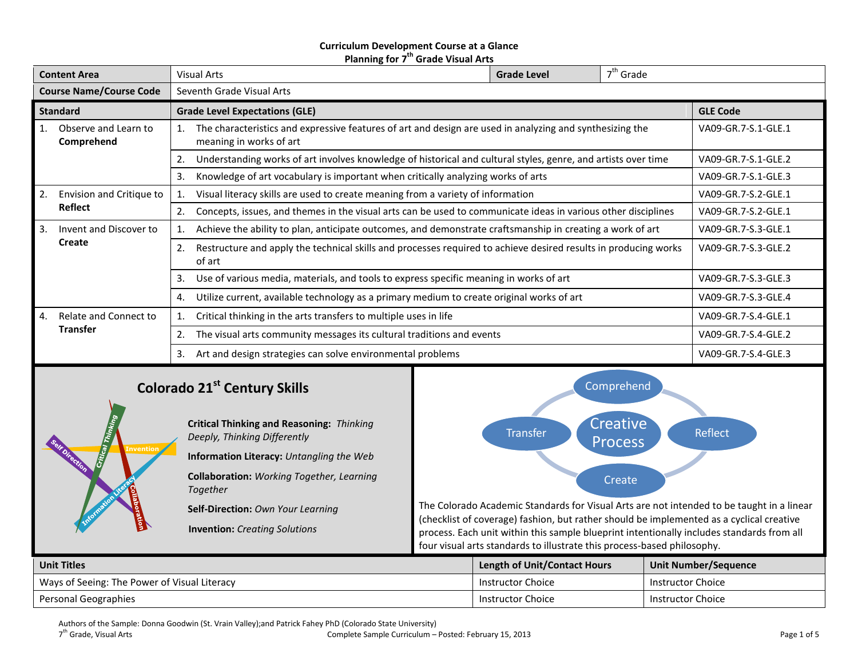# **Curriculum Development Course at a Glance Planning for 7 th Grade Visual Arts**

| <b>Content Area</b>            |                                          | $7th$ Grade<br><b>Visual Arts</b><br><b>Grade Level</b>                                                                             |                                                                                                               |                     |                     |                     |  |  |
|--------------------------------|------------------------------------------|-------------------------------------------------------------------------------------------------------------------------------------|---------------------------------------------------------------------------------------------------------------|---------------------|---------------------|---------------------|--|--|
| <b>Course Name/Course Code</b> |                                          |                                                                                                                                     | Seventh Grade Visual Arts                                                                                     |                     |                     |                     |  |  |
| <b>Standard</b>                |                                          |                                                                                                                                     | <b>Grade Level Expectations (GLE)</b>                                                                         |                     |                     | <b>GLE Code</b>     |  |  |
|                                | Observe and Learn to<br>Comprehend       | The characteristics and expressive features of art and design are used in analyzing and synthesizing the<br>meaning in works of art |                                                                                                               |                     |                     | VA09-GR.7-S.1-GLE.1 |  |  |
|                                |                                          | 2.                                                                                                                                  | Understanding works of art involves knowledge of historical and cultural styles, genre, and artists over time | VA09-GR.7-S.1-GLE.2 |                     |                     |  |  |
|                                |                                          | Knowledge of art vocabulary is important when critically analyzing works of arts<br>3.                                              |                                                                                                               |                     |                     | VA09-GR.7-S.1-GLE.3 |  |  |
| 2.                             | Envision and Critique to                 | Visual literacy skills are used to create meaning from a variety of information                                                     |                                                                                                               |                     | VA09-GR.7-S.2-GLE.1 |                     |  |  |
|                                | Reflect                                  | 2.                                                                                                                                  | Concepts, issues, and themes in the visual arts can be used to communicate ideas in various other disciplines | VA09-GR.7-S.2-GLE.1 |                     |                     |  |  |
| 3.                             | Invent and Discover to                   | Achieve the ability to plan, anticipate outcomes, and demonstrate craftsmanship in creating a work of art                           |                                                                                                               |                     | VA09-GR.7-S.3-GLE.1 |                     |  |  |
|                                | Create                                   | Restructure and apply the technical skills and processes required to achieve desired results in producing works<br>2.<br>of art     |                                                                                                               |                     |                     | VA09-GR.7-S.3-GLE.2 |  |  |
|                                |                                          | 3.                                                                                                                                  | Use of various media, materials, and tools to express specific meaning in works of art                        | VA09-GR.7-S.3-GLE.3 |                     |                     |  |  |
|                                |                                          | 4.                                                                                                                                  | Utilize current, available technology as a primary medium to create original works of art                     | VA09-GR.7-S.3-GLE.4 |                     |                     |  |  |
| 4.                             | Relate and Connect to<br><b>Transfer</b> | Critical thinking in the arts transfers to multiple uses in life                                                                    |                                                                                                               |                     |                     | VA09-GR.7-S.4-GLE.1 |  |  |
|                                |                                          | The visual arts community messages its cultural traditions and events<br>2.                                                         |                                                                                                               |                     |                     | VA09-GR.7-S.4-GLE.2 |  |  |
|                                |                                          | 3.                                                                                                                                  | Art and design strategies can solve environmental problems                                                    |                     |                     | VA09-GR.7-S.4-GLE.3 |  |  |

# **Colorado 21st Century Skills**



**Critical Thinking and Reasoning:** *Thinking Deeply, Thinking Differently* **Information Literacy:** *Untangling the Web* **Collaboration:** *Working Together, Learning Together*

**Self-Direction:** *Own Your Learning*

**Invention:** *Creating Solutions*



The Colorado Academic Standards for Visual Arts are not intended to be taught in a linear (checklist of coverage) fashion, but rather should be implemented as a cyclical creative process. Each unit within this sample blueprint intentionally includes standards from all four visual arts standards to illustrate this process-based philosophy.

| <b>Unit Titles</b>                           | <b>Length of Unit/Contact Hours</b> | Unit Number/Sequence |
|----------------------------------------------|-------------------------------------|----------------------|
| Ways of Seeing: The Power of Visual Literacy | Instructor Choice                   | Instructor Choice    |
| Personal Geographies                         | Instructor Choice                   | Instructor Choice    |

Authors of the Sample: Donna Goodwin (St. Vrain Valley);and Patrick Fahey PhD (Colorado State University)

7<sup>th</sup> Grade, Visual Arts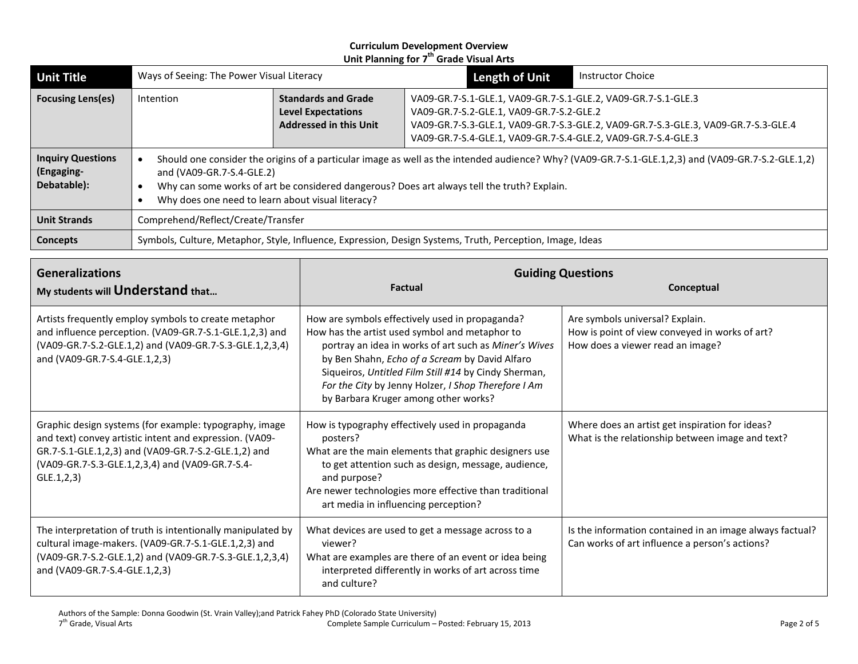| <b>Unit Title</b>                                     | Ways of Seeing: The Power Visual Literacy                                                                 |                                                                                                                                                                                                                                                                                                        | <b>Length of Unit</b>                                                                                                                                                                                                                                            | <b>Instructor Choice</b> |  |
|-------------------------------------------------------|-----------------------------------------------------------------------------------------------------------|--------------------------------------------------------------------------------------------------------------------------------------------------------------------------------------------------------------------------------------------------------------------------------------------------------|------------------------------------------------------------------------------------------------------------------------------------------------------------------------------------------------------------------------------------------------------------------|--------------------------|--|
| <b>Focusing Lens(es)</b>                              | Intention                                                                                                 | <b>Standards and Grade</b><br><b>Level Expectations</b><br><b>Addressed in this Unit</b>                                                                                                                                                                                                               | VA09-GR.7-S.1-GLE.1, VA09-GR.7-S.1-GLE.2, VA09-GR.7-S.1-GLE.3<br>VA09-GR.7-S.2-GLE.1, VA09-GR.7-S.2-GLE.2<br>VA09-GR.7-S.3-GLE.1, VA09-GR.7-S.3-GLE.2, VA09-GR.7-S.3-GLE.3, VA09-GR.7-S.3-GLE.4<br>VA09-GR.7-S.4-GLE.1, VA09-GR.7-S.4-GLE.2, VA09-GR.7-S.4-GLE.3 |                          |  |
| <b>Inquiry Questions</b><br>(Engaging-<br>Debatable): | and (VA09-GR.7-S.4-GLE.2)                                                                                 | Should one consider the origins of a particular image as well as the intended audience? Why? (VA09-GR.7-S.1-GLE.1,2,3) and (VA09-GR.7-S.2-GLE.1,2)<br>Why can some works of art be considered dangerous? Does art always tell the truth? Explain.<br>Why does one need to learn about visual literacy? |                                                                                                                                                                                                                                                                  |                          |  |
| <b>Unit Strands</b>                                   | Comprehend/Reflect/Create/Transfer                                                                        |                                                                                                                                                                                                                                                                                                        |                                                                                                                                                                                                                                                                  |                          |  |
| Concepts                                              | Symbols, Culture, Metaphor, Style, Influence, Expression, Design Systems, Truth, Perception, Image, Ideas |                                                                                                                                                                                                                                                                                                        |                                                                                                                                                                                                                                                                  |                          |  |

| <b>Generalizations</b><br>My students will Understand that                                                                                                                                                                                  | <b>Factual</b>                                                                                                                                                                                                                                                                                                                                                      | <b>Guiding Questions</b><br>Conceptual                                                                                |  |
|---------------------------------------------------------------------------------------------------------------------------------------------------------------------------------------------------------------------------------------------|---------------------------------------------------------------------------------------------------------------------------------------------------------------------------------------------------------------------------------------------------------------------------------------------------------------------------------------------------------------------|-----------------------------------------------------------------------------------------------------------------------|--|
| Artists frequently employ symbols to create metaphor<br>and influence perception. (VA09-GR.7-S.1-GLE.1,2,3) and<br>(VA09-GR.7-S.2-GLE.1,2) and (VA09-GR.7-S.3-GLE.1,2,3,4)<br>and (VA09-GR.7-S.4-GLE.1,2,3)                                 | How are symbols effectively used in propaganda?<br>How has the artist used symbol and metaphor to<br>portray an idea in works of art such as Miner's Wives<br>by Ben Shahn, Echo of a Scream by David Alfaro<br>Siqueiros, Untitled Film Still #14 by Cindy Sherman,<br>For the City by Jenny Holzer, I Shop Therefore I Am<br>by Barbara Kruger among other works? | Are symbols universal? Explain.<br>How is point of view conveyed in works of art?<br>How does a viewer read an image? |  |
| Graphic design systems (for example: typography, image<br>and text) convey artistic intent and expression. (VA09-<br>GR.7-S.1-GLE.1,2,3) and (VA09-GR.7-S.2-GLE.1,2) and<br>(VA09-GR.7-S.3-GLE.1,2,3,4) and (VA09-GR.7-S.4-<br>GLE.1, 2, 3) | How is typography effectively used in propaganda<br>posters?<br>What are the main elements that graphic designers use<br>to get attention such as design, message, audience,<br>and purpose?<br>Are newer technologies more effective than traditional<br>art media in influencing perception?                                                                      | Where does an artist get inspiration for ideas?<br>What is the relationship between image and text?                   |  |
| The interpretation of truth is intentionally manipulated by<br>cultural image-makers. (VA09-GR.7-S.1-GLE.1,2,3) and<br>(VA09-GR.7-S.2-GLE.1,2) and (VA09-GR.7-S.3-GLE.1,2,3,4)<br>and (VA09-GR.7-S.4-GLE.1,2,3)                             | What devices are used to get a message across to a<br>viewer?<br>What are examples are there of an event or idea being<br>interpreted differently in works of art across time<br>and culture?                                                                                                                                                                       | Is the information contained in an image always factual?<br>Can works of art influence a person's actions?            |  |

Authors of the Sample: Donna Goodwin (St. Vrain Valley);and Patrick Fahey PhD (Colorado State University)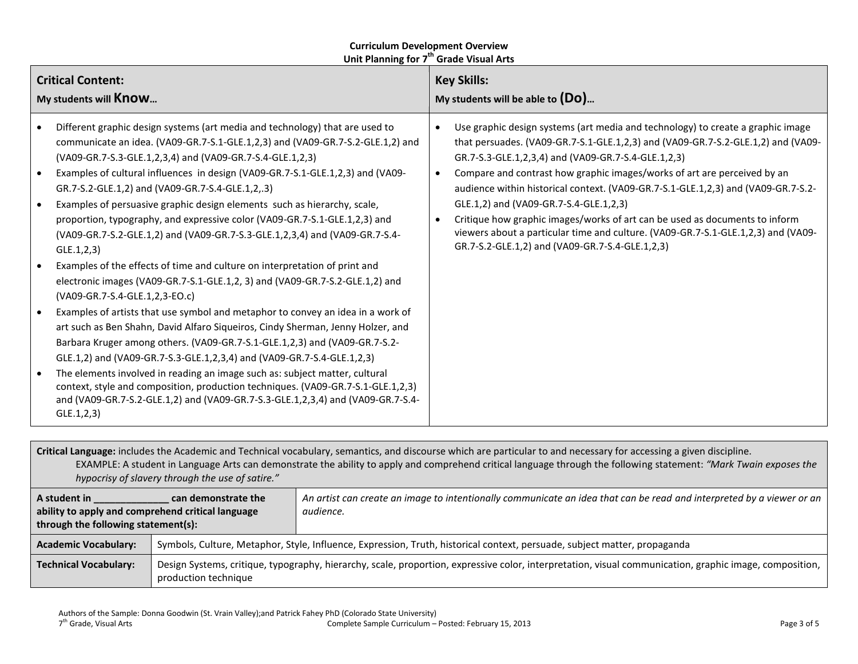| Use graphic design systems (art media and technology) to create a graphic image<br>Different graphic design systems (art media and technology) that are used to<br>that persuades. (VA09-GR.7-S.1-GLE.1,2,3) and (VA09-GR.7-S.2-GLE.1,2) and (VA09-<br>communicate an idea. (VA09-GR.7-S.1-GLE.1,2,3) and (VA09-GR.7-S.2-GLE.1,2) and<br>(VA09-GR.7-S.3-GLE.1,2,3,4) and (VA09-GR.7-S.4-GLE.1,2,3)<br>GR.7-S.3-GLE.1,2,3,4) and (VA09-GR.7-S.4-GLE.1,2,3)<br>Examples of cultural influences in design (VA09-GR.7-S.1-GLE.1,2,3) and (VA09-<br>Compare and contrast how graphic images/works of art are perceived by an<br>audience within historical context. (VA09-GR.7-S.1-GLE.1,2,3) and (VA09-GR.7-S.2-<br>GR.7-S.2-GLE.1,2) and (VA09-GR.7-S.4-GLE.1,2,.3)<br>Examples of persuasive graphic design elements such as hierarchy, scale,<br>GLE.1,2) and (VA09-GR.7-S.4-GLE.1,2,3)<br>proportion, typography, and expressive color (VA09-GR.7-S.1-GLE.1,2,3) and<br>Critique how graphic images/works of art can be used as documents to inform<br>$\bullet$<br>viewers about a particular time and culture. (VA09-GR.7-S.1-GLE.1,2,3) and (VA09-<br>(VA09-GR.7-S.2-GLE.1,2) and (VA09-GR.7-S.3-GLE.1,2,3,4) and (VA09-GR.7-S.4-<br>GR.7-S.2-GLE.1,2) and (VA09-GR.7-S.4-GLE.1,2,3)<br>GLE.1, 2, 3)<br>Examples of the effects of time and culture on interpretation of print and<br>electronic images (VA09-GR.7-S.1-GLE.1,2, 3) and (VA09-GR.7-S.2-GLE.1,2) and<br>(VA09-GR.7-S.4-GLE.1,2,3-EO.c)<br>Examples of artists that use symbol and metaphor to convey an idea in a work of<br>art such as Ben Shahn, David Alfaro Siqueiros, Cindy Sherman, Jenny Holzer, and<br>Barbara Kruger among others. (VA09-GR.7-S.1-GLE.1,2,3) and (VA09-GR.7-S.2-<br>GLE.1,2) and (VA09-GR.7-S.3-GLE.1,2,3,4) and (VA09-GR.7-S.4-GLE.1,2,3)<br>The elements involved in reading an image such as: subject matter, cultural<br>context, style and composition, production techniques. (VA09-GR.7-S.1-GLE.1,2,3)<br>and (VA09-GR.7-S.2-GLE.1,2) and (VA09-GR.7-S.3-GLE.1,2,3,4) and (VA09-GR.7-S.4-<br>GLE.1, 2, 3) | <b>Critical Content:</b><br>My students will <b>Know</b> | <b>Key Skills:</b><br>My students will be able to $(Do)$ |  |  |
|-------------------------------------------------------------------------------------------------------------------------------------------------------------------------------------------------------------------------------------------------------------------------------------------------------------------------------------------------------------------------------------------------------------------------------------------------------------------------------------------------------------------------------------------------------------------------------------------------------------------------------------------------------------------------------------------------------------------------------------------------------------------------------------------------------------------------------------------------------------------------------------------------------------------------------------------------------------------------------------------------------------------------------------------------------------------------------------------------------------------------------------------------------------------------------------------------------------------------------------------------------------------------------------------------------------------------------------------------------------------------------------------------------------------------------------------------------------------------------------------------------------------------------------------------------------------------------------------------------------------------------------------------------------------------------------------------------------------------------------------------------------------------------------------------------------------------------------------------------------------------------------------------------------------------------------------------------------------------------------------------------------------------------------------------------------------------------------------------------------|----------------------------------------------------------|----------------------------------------------------------|--|--|
|                                                                                                                                                                                                                                                                                                                                                                                                                                                                                                                                                                                                                                                                                                                                                                                                                                                                                                                                                                                                                                                                                                                                                                                                                                                                                                                                                                                                                                                                                                                                                                                                                                                                                                                                                                                                                                                                                                                                                                                                                                                                                                             |                                                          |                                                          |  |  |

**Critical Language:** includes the Academic and Technical vocabulary, semantics, and discourse which are particular to and necessary for accessing a given discipline. EXAMPLE: A student in Language Arts can demonstrate the ability to apply and comprehend critical language through the following statement: *"Mark Twain exposes the hypocrisy of slavery through the use of satire."* **A student in \_\_\_\_\_\_\_\_\_\_\_\_\_\_ can demonstrate the ability to apply and comprehend critical language through the following statement(s):**  *An artist can create an image to intentionally communicate an idea that can be read and interpreted by a viewer or an audience.* **Academic Vocabulary:** Symbols, Culture, Metaphor, Style, Influence, Expression, Truth, historical context, persuade, subject matter, propaganda Technical Vocabulary: | Design Systems, critique, typography, hierarchy, scale, proportion, expressive color, interpretation, visual communication, graphic image, composition, production technique

Authors of the Sample: Donna Goodwin (St. Vrain Valley);and Patrick Fahey PhD (Colorado State University)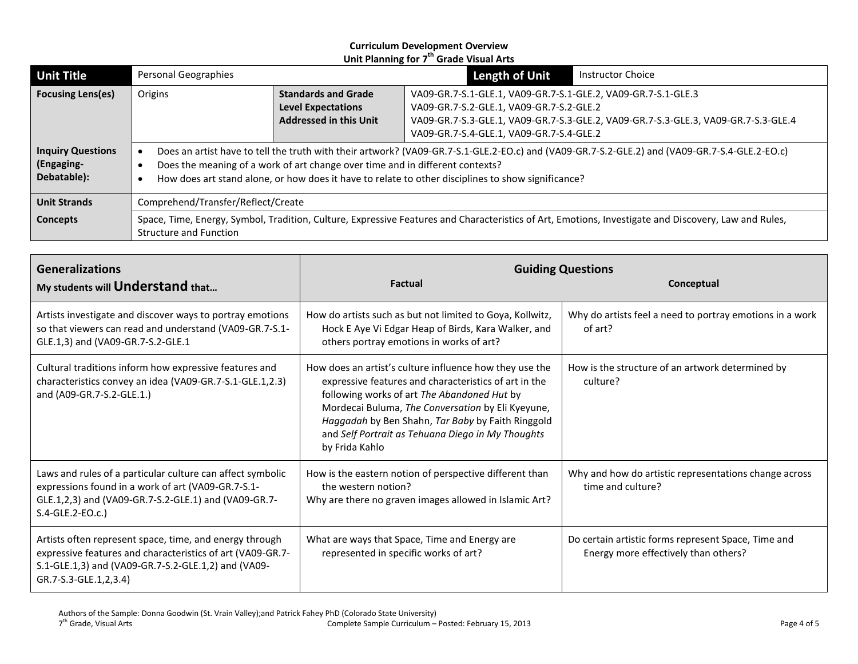| <b>Unit Title</b>                                     | Personal Geographies                                                                                                                                                                                                                                                                                                                 |                                                                                          | <b>Length of Unit</b>                                                                                                                                                                                                                       | <b>Instructor Choice</b> |  |
|-------------------------------------------------------|--------------------------------------------------------------------------------------------------------------------------------------------------------------------------------------------------------------------------------------------------------------------------------------------------------------------------------------|------------------------------------------------------------------------------------------|---------------------------------------------------------------------------------------------------------------------------------------------------------------------------------------------------------------------------------------------|--------------------------|--|
| <b>Focusing Lens(es)</b>                              | Origins                                                                                                                                                                                                                                                                                                                              | <b>Standards and Grade</b><br><b>Level Expectations</b><br><b>Addressed in this Unit</b> | VA09-GR.7-S.1-GLE.1, VA09-GR.7-S.1-GLE.2, VA09-GR.7-S.1-GLE.3<br>VA09-GR.7-S.2-GLE.1, VA09-GR.7-S.2-GLE.2<br>VA09-GR.7-S.3-GLE.1, VA09-GR.7-S.3-GLE.2, VA09-GR.7-S.3-GLE.3, VA09-GR.7-S.3-GLE.4<br>VA09-GR.7-S.4-GLE.1, VA09-GR.7-S.4-GLE.2 |                          |  |
| <b>Inquiry Questions</b><br>(Engaging-<br>Debatable): | Does an artist have to tell the truth with their artwork? (VA09-GR.7-S.1-GLE.2-EO.c) and (VA09-GR.7-S.2-GLE.2) and (VA09-GR.7-S.4-GLE.2-EO.c)<br>Does the meaning of a work of art change over time and in different contexts?<br>How does art stand alone, or how does it have to relate to other disciplines to show significance? |                                                                                          |                                                                                                                                                                                                                                             |                          |  |
| <b>Unit Strands</b>                                   | Comprehend/Transfer/Reflect/Create                                                                                                                                                                                                                                                                                                   |                                                                                          |                                                                                                                                                                                                                                             |                          |  |
| <b>Concepts</b>                                       | Space, Time, Energy, Symbol, Tradition, Culture, Expressive Features and Characteristics of Art, Emotions, Investigate and Discovery, Law and Rules,<br>Structure and Function                                                                                                                                                       |                                                                                          |                                                                                                                                                                                                                                             |                          |  |

| <b>Generalizations</b><br>My students will Understand that                                                                                                                                            | <b>Factual</b>                                                                                                                                                                                                                                                                                                                                   | <b>Guiding Questions</b><br>Conceptual                                                      |
|-------------------------------------------------------------------------------------------------------------------------------------------------------------------------------------------------------|--------------------------------------------------------------------------------------------------------------------------------------------------------------------------------------------------------------------------------------------------------------------------------------------------------------------------------------------------|---------------------------------------------------------------------------------------------|
| Artists investigate and discover ways to portray emotions<br>so that viewers can read and understand (VA09-GR.7-S.1-<br>GLE.1,3) and (VA09-GR.7-S.2-GLE.1                                             | How do artists such as but not limited to Goya, Kollwitz,<br>Hock E Aye Vi Edgar Heap of Birds, Kara Walker, and<br>others portray emotions in works of art?                                                                                                                                                                                     | Why do artists feel a need to portray emotions in a work<br>of art?                         |
| Cultural traditions inform how expressive features and<br>characteristics convey an idea (VA09-GR.7-S.1-GLE.1,2.3)<br>and (A09-GR.7-S.2-GLE.1.)                                                       | How does an artist's culture influence how they use the<br>expressive features and characteristics of art in the<br>following works of art The Abandoned Hut by<br>Mordecai Buluma, The Conversation by Eli Kyeyune,<br>Haggadah by Ben Shahn, Tar Baby by Faith Ringgold<br>and Self Portrait as Tehuana Diego in My Thoughts<br>by Frida Kahlo | How is the structure of an artwork determined by<br>culture?                                |
| Laws and rules of a particular culture can affect symbolic<br>expressions found in a work of art (VA09-GR.7-S.1-<br>GLE.1,2,3) and (VA09-GR.7-S.2-GLE.1) and (VA09-GR.7-<br>S.4-GLE.2-EO.c.)          | How is the eastern notion of perspective different than<br>the western notion?<br>Why are there no graven images allowed in Islamic Art?                                                                                                                                                                                                         | Why and how do artistic representations change across<br>time and culture?                  |
| Artists often represent space, time, and energy through<br>expressive features and characteristics of art (VA09-GR.7-<br>S.1-GLE.1,3) and (VA09-GR.7-S.2-GLE.1,2) and (VA09-<br>GR.7-S.3-GLE.1,2,3.4) | What are ways that Space, Time and Energy are<br>represented in specific works of art?                                                                                                                                                                                                                                                           | Do certain artistic forms represent Space, Time and<br>Energy more effectively than others? |